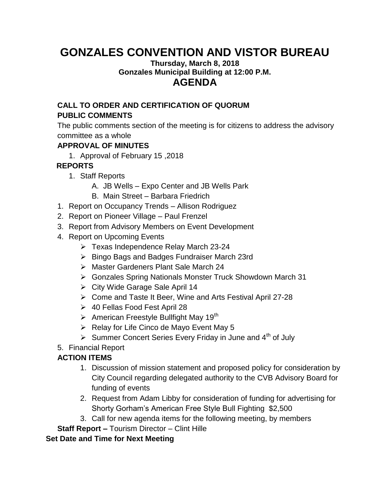# **GONZALES CONVENTION AND VISTOR BUREAU**

#### **Thursday, March 8, 2018 Gonzales Municipal Building at 12:00 P.M. AGENDA**

#### **CALL TO ORDER AND CERTIFICATION OF QUORUM PUBLIC COMMENTS**

The public comments section of the meeting is for citizens to address the advisory committee as a whole

#### **APPROVAL OF MINUTES**

1. Approval of February 15 ,2018

### **REPORTS**

- 1. Staff Reports
	- A. JB Wells Expo Center and JB Wells Park
	- B. Main Street Barbara Friedrich
- 1. Report on Occupancy Trends Allison Rodriguez
- 2. Report on Pioneer Village Paul Frenzel
- 3. Report from Advisory Members on Event Development
- 4. Report on Upcoming Events
	- $\triangleright$  Texas Independence Relay March 23-24
	- $\triangleright$  Bingo Bags and Badges Fundraiser March 23rd
	- Master Gardeners Plant Sale March 24
	- Gonzales Spring Nationals Monster Truck Showdown March 31
	- $\triangleright$  City Wide Garage Sale April 14
	- Come and Taste It Beer, Wine and Arts Festival April 27-28
	- 40 Fellas Food Fest April 28
	- $\triangleright$  American Freestyle Bullfight May 19<sup>th</sup>
	- $\triangleright$  Relay for Life Cinco de Mayo Event May 5
	- $\triangleright$  Summer Concert Series Every Friday in June and 4<sup>th</sup> of July
- 5. Financial Report

## **ACTION ITEMS**

- 1. Discussion of mission statement and proposed policy for consideration by City Council regarding delegated authority to the CVB Advisory Board for funding of events
- 2. Request from Adam Libby for consideration of funding for advertising for Shorty Gorham's American Free Style Bull Fighting \$2,500
- 3. Call for new agenda items for the following meeting, by members
- **Staff Report –** Tourism Director Clint Hille

### **Set Date and Time for Next Meeting**